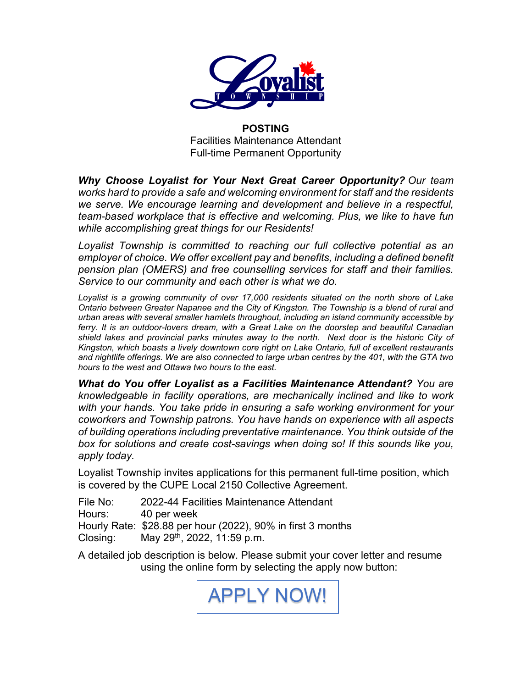

**POSTING**  Facilities Maintenance Attendant Full-time Permanent Opportunity

*Why Choose Loyalist for Your Next Great Career Opportunity? Our team works hard to provide a safe and welcoming environment for staff and the residents we serve. We encourage learning and development and believe in a respectful, team-based workplace that is effective and welcoming. Plus, we like to have fun while accomplishing great things for our Residents!*

*Loyalist Township is committed to reaching our full collective potential as an employer of choice. We offer excellent pay and benefits, including a defined benefit pension plan (OMERS) and free counselling services for staff and their families. Service to our community and each other is what we do.*

*Loyalist is a growing community of over 17,000 residents situated on the north shore of Lake Ontario between Greater Napanee and the City of Kingston. The Township is a blend of rural and urban areas with several smaller hamlets throughout, including an island community accessible by ferry. It is an outdoor-lovers dream, with a Great Lake on the doorstep and beautiful Canadian shield lakes and provincial parks minutes away to the north. Next door is the historic City of Kingston, which boasts a lively downtown core right on Lake Ontario, full of excellent restaurants and nightlife offerings. We are also connected to large urban centres by the 401, with the GTA two hours to the west and Ottawa two hours to the east.* 

*What do You offer Loyalist as a Facilities Maintenance Attendant? You are knowledgeable in facility operations, are mechanically inclined and like to work with your hands. You take pride in ensuring a safe working environment for your coworkers and Township patrons. You have hands on experience with all aspects of building operations including preventative maintenance. You think outside of the box for solutions and create cost-savings when doing so! If this sounds like you, apply today.*

Loyalist Township invites applications for this permanent full-time position, which is covered by the CUPE Local 2150 Collective Agreement.

File No: 2022-44 Facilities Maintenance Attendant Hours: 40 per week Hourly Rate: \$28.88 per hour (2022), 90% in first 3 months Closing: May 29th, 2022, 11:59 p.m.

A detailed job description is below. Please submit your cover letter and resume using the online form by selecting the apply now button:

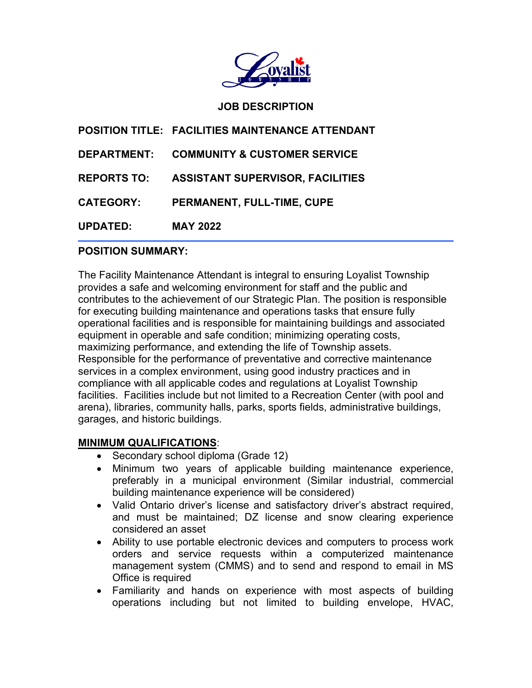

### **JOB DESCRIPTION**

|                    | POSITION TITLE: FACILITIES MAINTENANCE ATTENDANT |
|--------------------|--------------------------------------------------|
| <b>DEPARTMENT:</b> | <b>COMMUNITY &amp; CUSTOMER SERVICE</b>          |
| <b>REPORTS TO:</b> | <b>ASSISTANT SUPERVISOR, FACILITIES</b>          |
| <b>CATEGORY:</b>   | PERMANENT, FULL-TIME, CUPE                       |
| <b>UPDATED:</b>    | <b>MAY 2022</b>                                  |

#### $\overline{a}$ **POSITION SUMMARY:**

The Facility Maintenance Attendant is integral to ensuring Loyalist Township provides a safe and welcoming environment for staff and the public and contributes to the achievement of our Strategic Plan. The position is responsible for executing building maintenance and operations tasks that ensure fully operational facilities and is responsible for maintaining buildings and associated equipment in operable and safe condition; minimizing operating costs, maximizing performance, and extending the life of Township assets. Responsible for the performance of preventative and corrective maintenance services in a complex environment, using good industry practices and in compliance with all applicable codes and regulations at Loyalist Township facilities. Facilities include but not limited to a Recreation Center (with pool and arena), libraries, community halls, parks, sports fields, administrative buildings, garages, and historic buildings.

#### **MINIMUM QUALIFICATIONS**:

- Secondary school diploma (Grade 12)
- Minimum two years of applicable building maintenance experience, preferably in a municipal environment (Similar industrial, commercial building maintenance experience will be considered)
- Valid Ontario driver's license and satisfactory driver's abstract required, and must be maintained; DZ license and snow clearing experience considered an asset
- Ability to use portable electronic devices and computers to process work orders and service requests within a computerized maintenance management system (CMMS) and to send and respond to email in MS Office is required
- Familiarity and hands on experience with most aspects of building operations including but not limited to building envelope, HVAC,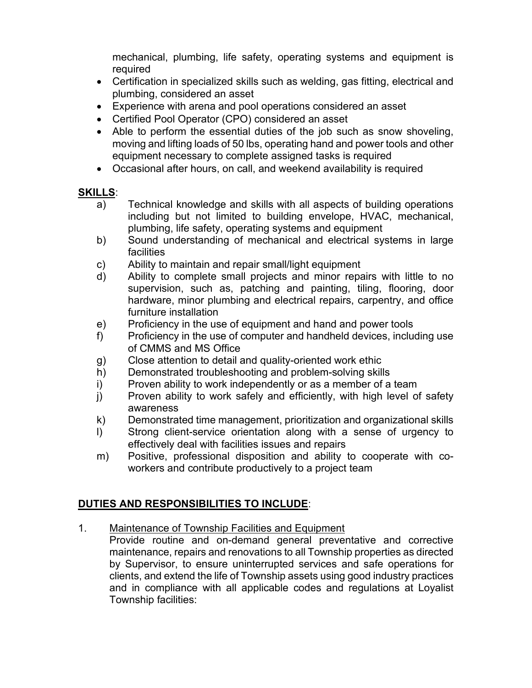mechanical, plumbing, life safety, operating systems and equipment is required

- Certification in specialized skills such as welding, gas fitting, electrical and plumbing, considered an asset
- Experience with arena and pool operations considered an asset
- Certified Pool Operator (CPO) considered an asset
- Able to perform the essential duties of the job such as snow shoveling, moving and lifting loads of 50 lbs, operating hand and power tools and other equipment necessary to complete assigned tasks is required
- Occasional after hours, on call, and weekend availability is required

# **SKILLS**:

- a) Technical knowledge and skills with all aspects of building operations including but not limited to building envelope, HVAC, mechanical, plumbing, life safety, operating systems and equipment
- b) Sound understanding of mechanical and electrical systems in large facilities
- c) Ability to maintain and repair small/light equipment
- d) Ability to complete small projects and minor repairs with little to no supervision, such as, patching and painting, tiling, flooring, door hardware, minor plumbing and electrical repairs, carpentry, and office furniture installation
- e) Proficiency in the use of equipment and hand and power tools
- f) Proficiency in the use of computer and handheld devices, including use of CMMS and MS Office
- g) Close attention to detail and quality-oriented work ethic
- h) Demonstrated troubleshooting and problem-solving skills
- i) Proven ability to work independently or as a member of a team
- j) Proven ability to work safely and efficiently, with high level of safety awareness
- k) Demonstrated time management, prioritization and organizational skills
- l) Strong client-service orientation along with a sense of urgency to effectively deal with facilities issues and repairs
- m) Positive, professional disposition and ability to cooperate with coworkers and contribute productively to a project team

# **DUTIES AND RESPONSIBILITIES TO INCLUDE**:

- 1. Maintenance of Township Facilities and Equipment
	- Provide routine and on-demand general preventative and corrective maintenance, repairs and renovations to all Township properties as directed by Supervisor, to ensure uninterrupted services and safe operations for clients, and extend the life of Township assets using good industry practices and in compliance with all applicable codes and regulations at Loyalist Township facilities: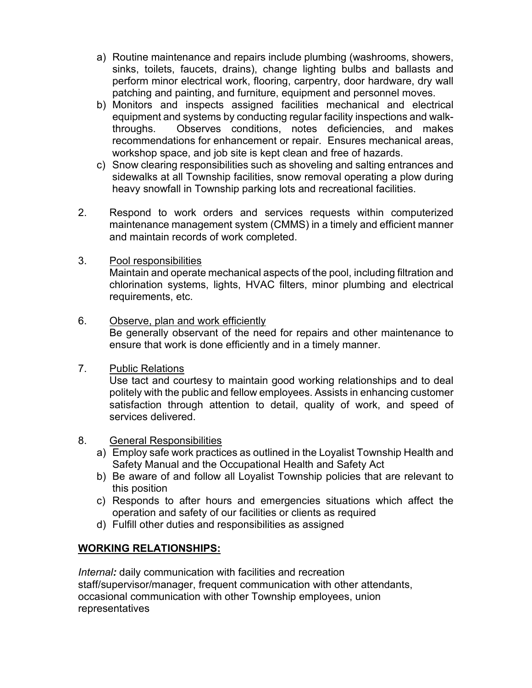- a) Routine maintenance and repairs include plumbing (washrooms, showers, sinks, toilets, faucets, drains), change lighting bulbs and ballasts and perform minor electrical work, flooring, carpentry, door hardware, dry wall patching and painting, and furniture, equipment and personnel moves.
- b) Monitors and inspects assigned facilities mechanical and electrical equipment and systems by conducting regular facility inspections and walkthroughs. Observes conditions, notes deficiencies, and makes recommendations for enhancement or repair. Ensures mechanical areas, workshop space, and job site is kept clean and free of hazards.
- c) Snow clearing responsibilities such as shoveling and salting entrances and sidewalks at all Township facilities, snow removal operating a plow during heavy snowfall in Township parking lots and recreational facilities.
- 2. Respond to work orders and services requests within computerized maintenance management system (CMMS) in a timely and efficient manner and maintain records of work completed.
- 3. Pool responsibilities

Maintain and operate mechanical aspects of the pool, including filtration and chlorination systems, lights, HVAC filters, minor plumbing and electrical requirements, etc.

- 6. Observe, plan and work efficiently Be generally observant of the need for repairs and other maintenance to ensure that work is done efficiently and in a timely manner.
- 7. Public Relations

Use tact and courtesy to maintain good working relationships and to deal politely with the public and fellow employees. Assists in enhancing customer satisfaction through attention to detail, quality of work, and speed of services delivered.

- 8. General Responsibilities
	- a) Employ safe work practices as outlined in the Loyalist Township Health and Safety Manual and the Occupational Health and Safety Act
	- b) Be aware of and follow all Loyalist Township policies that are relevant to this position
	- c) Responds to after hours and emergencies situations which affect the operation and safety of our facilities or clients as required
	- d) Fulfill other duties and responsibilities as assigned

## **WORKING RELATIONSHIPS:**

*Internal:* daily communication with facilities and recreation staff/supervisor/manager, frequent communication with other attendants, occasional communication with other Township employees, union representatives